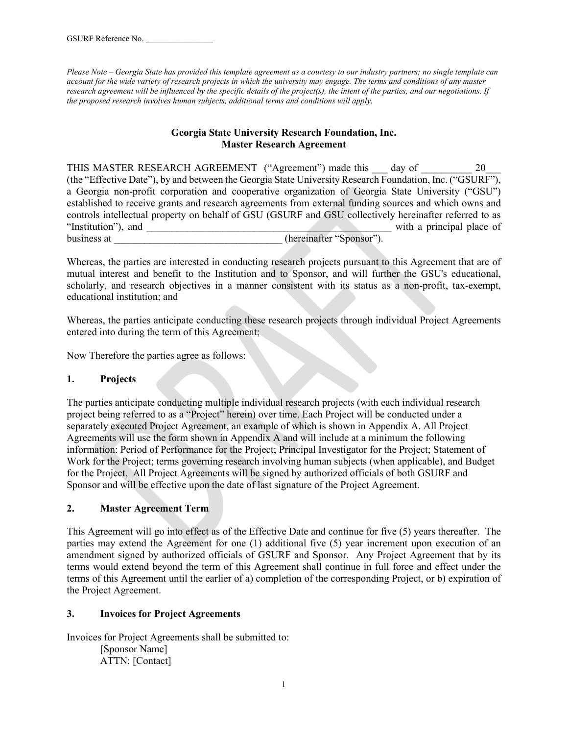*Please Note – Georgia State has provided this template agreement as a courtesy to our industry partners; no single template can account for the wide variety of research projects in which the university may engage. The terms and conditions of any master research agreement will be influenced by the specific details of the project(s), the intent of the parties, and our negotiations. If the proposed research involves human subjects, additional terms and conditions will apply.*

## **Georgia State University Research Foundation, Inc. Master Research Agreement**

THIS MASTER RESEARCH AGREEMENT ("Agreement") made this day of  $20$ (the "Effective Date"), by and between the Georgia State University Research Foundation, Inc. ("GSURF"), a Georgia non-profit corporation and cooperative organization of Georgia State University ("GSU") established to receive grants and research agreements from external funding sources and which owns and controls intellectual property on behalf of GSU (GSURF and GSU collectively hereinafter referred to as "Institution"), and  $\Box$  with a principal place of business at \_\_\_\_\_\_\_\_\_\_\_\_\_\_\_\_\_\_\_\_\_\_\_\_\_\_\_\_\_\_\_\_\_ (hereinafter "Sponsor").

Whereas, the parties are interested in conducting research projects pursuant to this Agreement that are of mutual interest and benefit to the Institution and to Sponsor, and will further the GSU's educational, scholarly, and research objectives in a manner consistent with its status as a non-profit, tax-exempt, educational institution; and

Whereas, the parties anticipate conducting these research projects through individual Project Agreements entered into during the term of this Agreement;

Now Therefore the parties agree as follows:

# **1. Projects**

The parties anticipate conducting multiple individual research projects (with each individual research project being referred to as a "Project" herein) over time. Each Project will be conducted under a separately executed Project Agreement, an example of which is shown in Appendix A. All Project Agreements will use the form shown in Appendix A and will include at a minimum the following information: Period of Performance for the Project; Principal Investigator for the Project; Statement of Work for the Project; terms governing research involving human subjects (when applicable), and Budget for the Project. All Project Agreements will be signed by authorized officials of both GSURF and Sponsor and will be effective upon the date of last signature of the Project Agreement.

# **2. Master Agreement Term**

This Agreement will go into effect as of the Effective Date and continue for five (5) years thereafter. The parties may extend the Agreement for one (1) additional five (5) year increment upon execution of an amendment signed by authorized officials of GSURF and Sponsor. Any Project Agreement that by its terms would extend beyond the term of this Agreement shall continue in full force and effect under the terms of this Agreement until the earlier of a) completion of the corresponding Project, or b) expiration of the Project Agreement.

## **3. Invoices for Project Agreements**

Invoices for Project Agreements shall be submitted to:

[Sponsor Name] ATTN: [Contact]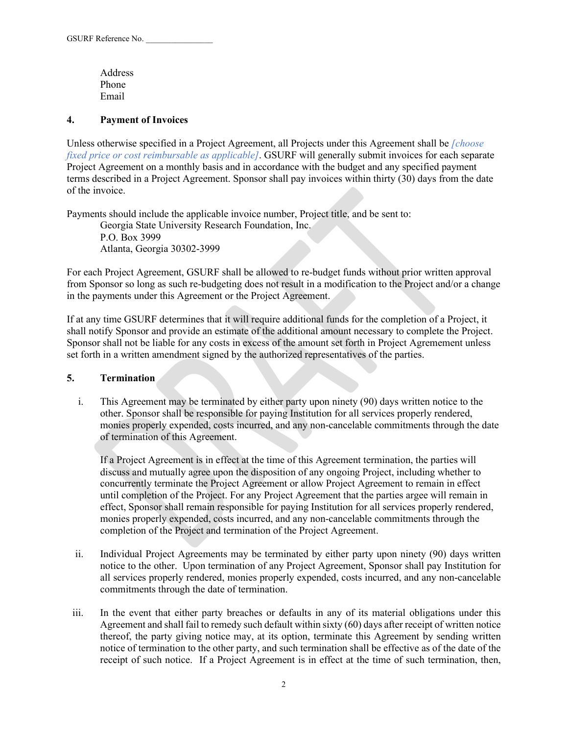Address Phone Email

#### **4. Payment of Invoices**

Unless otherwise specified in a Project Agreement, all Projects under this Agreement shall be *[choose fixed price or cost reimbursable as applicable]*. GSURF will generally submit invoices for each separate Project Agreement on a monthly basis and in accordance with the budget and any specified payment terms described in a Project Agreement. Sponsor shall pay invoices within thirty (30) days from the date of the invoice.

Payments should include the applicable invoice number, Project title, and be sent to:

Georgia State University Research Foundation, Inc. P.O. Box 3999 Atlanta, Georgia 30302-3999

For each Project Agreement, GSURF shall be allowed to re-budget funds without prior written approval from Sponsor so long as such re-budgeting does not result in a modification to the Project and/or a change in the payments under this Agreement or the Project Agreement.

If at any time GSURF determines that it will require additional funds for the completion of a Project, it shall notify Sponsor and provide an estimate of the additional amount necessary to complete the Project. Sponsor shall not be liable for any costs in excess of the amount set forth in Project Agremement unless set forth in a written amendment signed by the authorized representatives of the parties.

## **5. Termination**

i. This Agreement may be terminated by either party upon ninety (90) days written notice to the other. Sponsor shall be responsible for paying Institution for all services properly rendered, monies properly expended, costs incurred, and any non-cancelable commitments through the date of termination of this Agreement.

If a Project Agreement is in effect at the time of this Agreement termination, the parties will discuss and mutually agree upon the disposition of any ongoing Project, including whether to concurrently terminate the Project Agreement or allow Project Agreement to remain in effect until completion of the Project. For any Project Agreement that the parties argee will remain in effect, Sponsor shall remain responsible for paying Institution for all services properly rendered, monies properly expended, costs incurred, and any non-cancelable commitments through the completion of the Project and termination of the Project Agreement.

- ii. Individual Project Agreements may be terminated by either party upon ninety (90) days written notice to the other. Upon termination of any Project Agreement, Sponsor shall pay Institution for all services properly rendered, monies properly expended, costs incurred, and any non-cancelable commitments through the date of termination.
- iii. In the event that either party breaches or defaults in any of its material obligations under this Agreement and shall fail to remedy such default within sixty (60) days after receipt of written notice thereof, the party giving notice may, at its option, terminate this Agreement by sending written notice of termination to the other party, and such termination shall be effective as of the date of the receipt of such notice. If a Project Agreement is in effect at the time of such termination, then,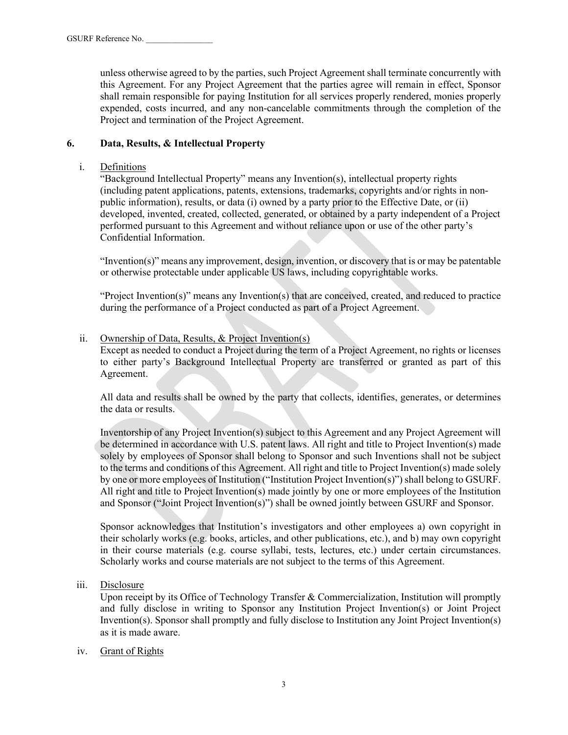unless otherwise agreed to by the parties, such Project Agreement shall terminate concurrently with this Agreement. For any Project Agreement that the parties agree will remain in effect, Sponsor shall remain responsible for paying Institution for all services properly rendered, monies properly expended, costs incurred, and any non-cancelable commitments through the completion of the Project and termination of the Project Agreement.

## **6. Data, Results, & Intellectual Property**

#### i. Definitions

"Background Intellectual Property" means any Invention(s), intellectual property rights (including patent applications, patents, extensions, trademarks, copyrights and/or rights in nonpublic information), results, or data (i) owned by a party prior to the Effective Date, or (ii) developed, invented, created, collected, generated, or obtained by a party independent of a Project performed pursuant to this Agreement and without reliance upon or use of the other party's Confidential Information.

"Invention(s)" means any improvement, design, invention, or discovery that is or may be patentable or otherwise protectable under applicable US laws, including copyrightable works.

"Project Invention(s)" means any Invention(s) that are conceived, created, and reduced to practice during the performance of a Project conducted as part of a Project Agreement.

#### ii. Ownership of Data, Results, & Project Invention(s)

Except as needed to conduct a Project during the term of a Project Agreement, no rights or licenses to either party's Background Intellectual Property are transferred or granted as part of this Agreement.

All data and results shall be owned by the party that collects, identifies, generates, or determines the data or results.

Inventorship of any Project Invention(s) subject to this Agreement and any Project Agreement will be determined in accordance with U.S. patent laws. All right and title to Project Invention(s) made solely by employees of Sponsor shall belong to Sponsor and such Inventions shall not be subject to the terms and conditions of this Agreement. All right and title to Project Invention(s) made solely by one or more employees of Institution ("Institution Project Invention(s)") shall belong to GSURF. All right and title to Project Invention(s) made jointly by one or more employees of the Institution and Sponsor ("Joint Project Invention(s)") shall be owned jointly between GSURF and Sponsor.

Sponsor acknowledges that Institution's investigators and other employees a) own copyright in their scholarly works (e.g. books, articles, and other publications, etc.), and b) may own copyright in their course materials (e.g. course syllabi, tests, lectures, etc.) under certain circumstances. Scholarly works and course materials are not subject to the terms of this Agreement.

iii. Disclosure

Upon receipt by its Office of Technology Transfer & Commercialization, Institution will promptly and fully disclose in writing to Sponsor any Institution Project Invention(s) or Joint Project Invention(s). Sponsor shall promptly and fully disclose to Institution any Joint Project Invention(s) as it is made aware.

#### iv. Grant of Rights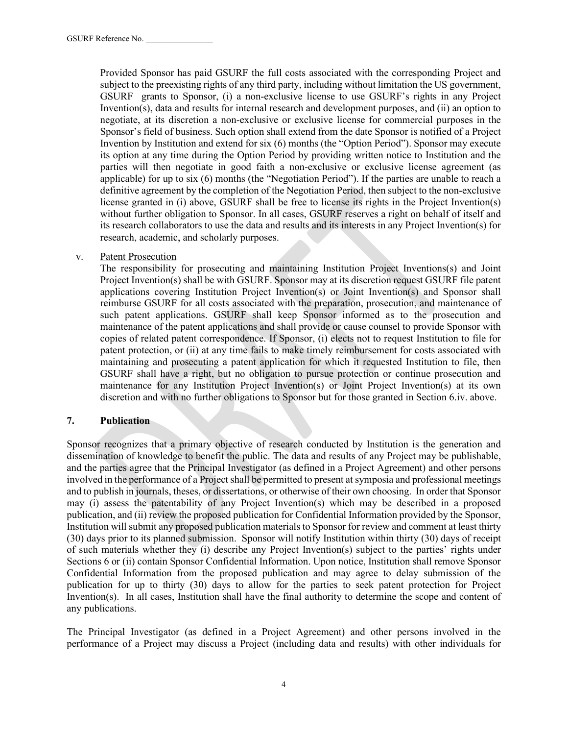Provided Sponsor has paid GSURF the full costs associated with the corresponding Project and subject to the preexisting rights of any third party, including without limitation the US government, GSURF grants to Sponsor, (i) a non-exclusive license to use GSURF's rights in any Project Invention(s), data and results for internal research and development purposes, and (ii) an option to negotiate, at its discretion a non-exclusive or exclusive license for commercial purposes in the Sponsor's field of business. Such option shall extend from the date Sponsor is notified of a Project Invention by Institution and extend for six (6) months (the "Option Period"). Sponsor may execute its option at any time during the Option Period by providing written notice to Institution and the parties will then negotiate in good faith a non-exclusive or exclusive license agreement (as applicable) for up to six (6) months (the "Negotiation Period"). If the parties are unable to reach a definitive agreement by the completion of the Negotiation Period, then subject to the non-exclusive license granted in (i) above, GSURF shall be free to license its rights in the Project Invention(s) without further obligation to Sponsor. In all cases, GSURF reserves a right on behalf of itself and its research collaborators to use the data and results and its interests in any Project Invention(s) for research, academic, and scholarly purposes.

v. Patent Prosecution

The responsibility for prosecuting and maintaining Institution Project Inventions(s) and Joint Project Invention(s) shall be with GSURF. Sponsor may at its discretion request GSURF file patent applications covering Institution Project Invention(s) or Joint Invention(s) and Sponsor shall reimburse GSURF for all costs associated with the preparation, prosecution, and maintenance of such patent applications. GSURF shall keep Sponsor informed as to the prosecution and maintenance of the patent applications and shall provide or cause counsel to provide Sponsor with copies of related patent correspondence. If Sponsor, (i) elects not to request Institution to file for patent protection, or (ii) at any time fails to make timely reimbursement for costs associated with maintaining and prosecuting a patent application for which it requested Institution to file, then GSURF shall have a right, but no obligation to pursue protection or continue prosecution and maintenance for any Institution Project Invention(s) or Joint Project Invention(s) at its own discretion and with no further obligations to Sponsor but for those granted in Section 6.iv. above.

## **7. Publication**

Sponsor recognizes that a primary objective of research conducted by Institution is the generation and dissemination of knowledge to benefit the public. The data and results of any Project may be publishable, and the parties agree that the Principal Investigator (as defined in a Project Agreement) and other persons involved in the performance of a Project shall be permitted to present at symposia and professional meetings and to publish in journals, theses, or dissertations, or otherwise of their own choosing. In order that Sponsor may (i) assess the patentability of any Project Invention(s) which may be described in a proposed publication, and (ii) review the proposed publication for Confidential Information provided by the Sponsor, Institution will submit any proposed publication materials to Sponsor for review and comment at least thirty (30) days prior to its planned submission. Sponsor will notify Institution within thirty (30) days of receipt of such materials whether they (i) describe any Project Invention(s) subject to the parties' rights under Sections 6 or (ii) contain Sponsor Confidential Information. Upon notice, Institution shall remove Sponsor Confidential Information from the proposed publication and may agree to delay submission of the publication for up to thirty (30) days to allow for the parties to seek patent protection for Project Invention(s). In all cases, Institution shall have the final authority to determine the scope and content of any publications.

The Principal Investigator (as defined in a Project Agreement) and other persons involved in the performance of a Project may discuss a Project (including data and results) with other individuals for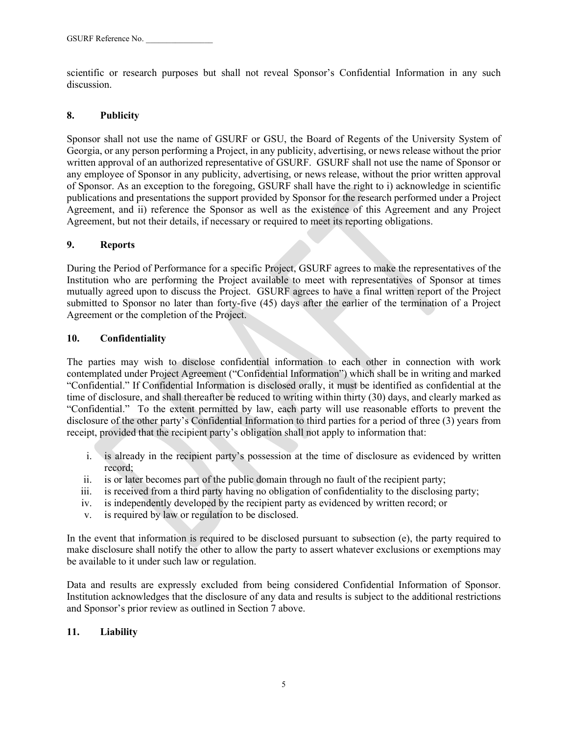scientific or research purposes but shall not reveal Sponsor's Confidential Information in any such discussion.

## **8. Publicity**

Sponsor shall not use the name of GSURF or GSU, the Board of Regents of the University System of Georgia, or any person performing a Project, in any publicity, advertising, or news release without the prior written approval of an authorized representative of GSURF. GSURF shall not use the name of Sponsor or any employee of Sponsor in any publicity, advertising, or news release, without the prior written approval of Sponsor. As an exception to the foregoing, GSURF shall have the right to i) acknowledge in scientific publications and presentations the support provided by Sponsor for the research performed under a Project Agreement, and ii) reference the Sponsor as well as the existence of this Agreement and any Project Agreement, but not their details, if necessary or required to meet its reporting obligations.

#### **9. Reports**

During the Period of Performance for a specific Project, GSURF agrees to make the representatives of the Institution who are performing the Project available to meet with representatives of Sponsor at times mutually agreed upon to discuss the Project. GSURF agrees to have a final written report of the Project submitted to Sponsor no later than forty-five (45) days after the earlier of the termination of a Project Agreement or the completion of the Project.

#### **10. Confidentiality**

The parties may wish to disclose confidential information to each other in connection with work contemplated under Project Agreement ("Confidential Information") which shall be in writing and marked "Confidential." If Confidential Information is disclosed orally, it must be identified as confidential at the time of disclosure, and shall thereafter be reduced to writing within thirty (30) days, and clearly marked as "Confidential." To the extent permitted by law, each party will use reasonable efforts to prevent the disclosure of the other party's Confidential Information to third parties for a period of three (3) years from receipt, provided that the recipient party's obligation shall not apply to information that:

- i. is already in the recipient party's possession at the time of disclosure as evidenced by written record;
- ii. is or later becomes part of the public domain through no fault of the recipient party;
- iii. is received from a third party having no obligation of confidentiality to the disclosing party;
- iv. is independently developed by the recipient party as evidenced by written record; or
- v. is required by law or regulation to be disclosed.

In the event that information is required to be disclosed pursuant to subsection (e), the party required to make disclosure shall notify the other to allow the party to assert whatever exclusions or exemptions may be available to it under such law or regulation.

Data and results are expressly excluded from being considered Confidential Information of Sponsor. Institution acknowledges that the disclosure of any data and results is subject to the additional restrictions and Sponsor's prior review as outlined in Section 7 above.

## **11. Liability**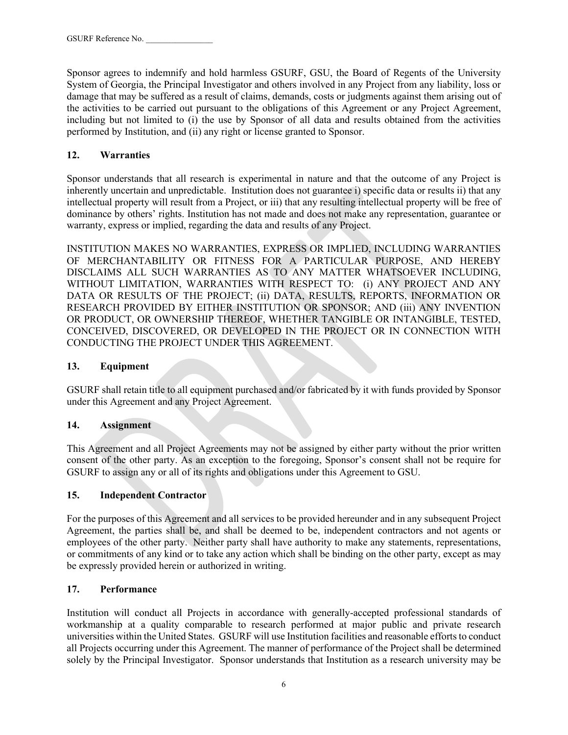Sponsor agrees to indemnify and hold harmless GSURF, GSU, the Board of Regents of the University System of Georgia, the Principal Investigator and others involved in any Project from any liability, loss or damage that may be suffered as a result of claims, demands, costs or judgments against them arising out of the activities to be carried out pursuant to the obligations of this Agreement or any Project Agreement, including but not limited to (i) the use by Sponsor of all data and results obtained from the activities performed by Institution, and (ii) any right or license granted to Sponsor.

# **12. Warranties**

Sponsor understands that all research is experimental in nature and that the outcome of any Project is inherently uncertain and unpredictable. Institution does not guarantee i) specific data or results ii) that any intellectual property will result from a Project, or iii) that any resulting intellectual property will be free of dominance by others' rights. Institution has not made and does not make any representation, guarantee or warranty, express or implied, regarding the data and results of any Project.

INSTITUTION MAKES NO WARRANTIES, EXPRESS OR IMPLIED, INCLUDING WARRANTIES OF MERCHANTABILITY OR FITNESS FOR A PARTICULAR PURPOSE, AND HEREBY DISCLAIMS ALL SUCH WARRANTIES AS TO ANY MATTER WHATSOEVER INCLUDING, WITHOUT LIMITATION, WARRANTIES WITH RESPECT TO: (i) ANY PROJECT AND ANY DATA OR RESULTS OF THE PROJECT; (ii) DATA, RESULTS, REPORTS, INFORMATION OR RESEARCH PROVIDED BY EITHER INSTITUTION OR SPONSOR; AND (iii) ANY INVENTION OR PRODUCT, OR OWNERSHIP THEREOF, WHETHER TANGIBLE OR INTANGIBLE, TESTED, CONCEIVED, DISCOVERED, OR DEVELOPED IN THE PROJECT OR IN CONNECTION WITH CONDUCTING THE PROJECT UNDER THIS AGREEMENT.

## **13. Equipment**

GSURF shall retain title to all equipment purchased and/or fabricated by it with funds provided by Sponsor under this Agreement and any Project Agreement.

# **14. Assignment**

This Agreement and all Project Agreements may not be assigned by either party without the prior written consent of the other party. As an exception to the foregoing, Sponsor's consent shall not be require for GSURF to assign any or all of its rights and obligations under this Agreement to GSU.

# **15. Independent Contractor**

For the purposes of this Agreement and all services to be provided hereunder and in any subsequent Project Agreement, the parties shall be, and shall be deemed to be, independent contractors and not agents or employees of the other party. Neither party shall have authority to make any statements, representations, or commitments of any kind or to take any action which shall be binding on the other party, except as may be expressly provided herein or authorized in writing.

# **17. Performance**

Institution will conduct all Projects in accordance with generally-accepted professional standards of workmanship at a quality comparable to research performed at major public and private research universities within the United States. GSURF will use Institution facilities and reasonable efforts to conduct all Projects occurring under this Agreement. The manner of performance of the Project shall be determined solely by the Principal Investigator. Sponsor understands that Institution as a research university may be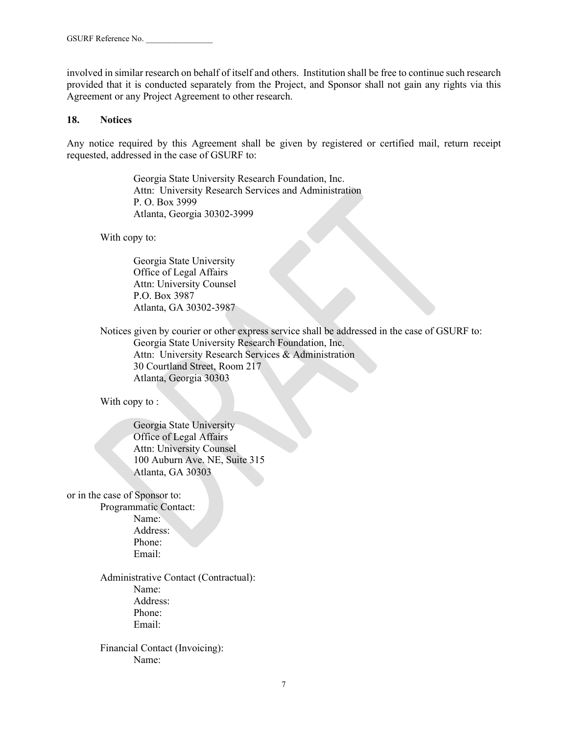involved in similar research on behalf of itself and others. Institution shall be free to continue such research provided that it is conducted separately from the Project, and Sponsor shall not gain any rights via this Agreement or any Project Agreement to other research.

#### **18. Notices**

Any notice required by this Agreement shall be given by registered or certified mail, return receipt requested, addressed in the case of GSURF to:

> Georgia State University Research Foundation, Inc. Attn: University Research Services and Administration P. O. Box 3999 Atlanta, Georgia 30302-3999

With copy to:

Georgia State University Office of Legal Affairs Attn: University Counsel P.O. Box 3987 Atlanta, GA 30302-3987

Notices given by courier or other express service shall be addressed in the case of GSURF to: Georgia State University Research Foundation, Inc. Attn: University Research Services & Administration 30 Courtland Street, Room 217 Atlanta, Georgia 30303

With copy to :

Georgia State University Office of Legal Affairs Attn: University Counsel 100 Auburn Ave. NE, Suite 315 Atlanta, GA 30303

or in the case of Sponsor to:

Programmatic Contact: Name: Address: Phone: Email:

Administrative Contact (Contractual): Name: Address: Phone: Email:

Financial Contact (Invoicing): Name: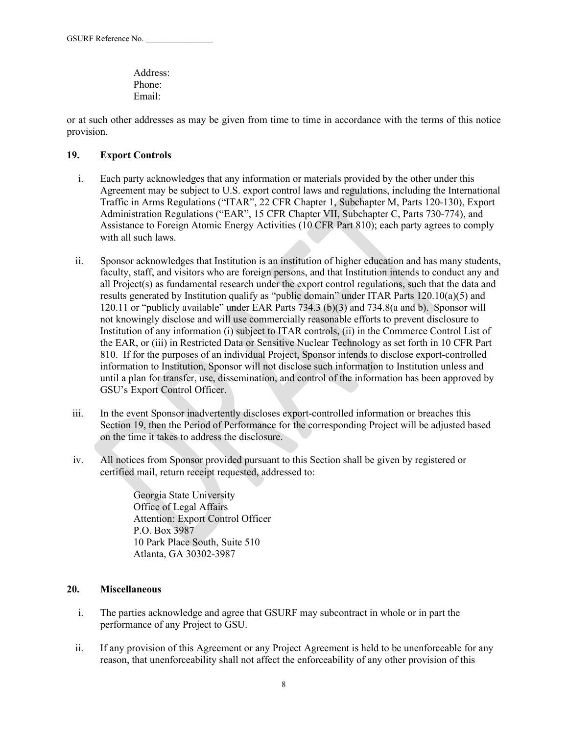Address: Phone: Email:

or at such other addresses as may be given from time to time in accordance with the terms of this notice provision.

## **19. Export Controls**

- i. Each party acknowledges that any information or materials provided by the other under this Agreement may be subject to U.S. export control laws and regulations, including the International Traffic in Arms Regulations ("ITAR", 22 CFR Chapter 1, Subchapter M, Parts 120-130), Export Administration Regulations ("EAR", 15 CFR Chapter VII, Subchapter C, Parts 730-774), and Assistance to Foreign Atomic Energy Activities (10 CFR Part 810); each party agrees to comply with all such laws.
- ii. Sponsor acknowledges that Institution is an institution of higher education and has many students, faculty, staff, and visitors who are foreign persons, and that Institution intends to conduct any and all Project(s) as fundamental research under the export control regulations, such that the data and results generated by Institution qualify as "public domain" under ITAR Parts 120.10(a)(5) and 120.11 or "publicly available" under EAR Parts 734.3 (b)(3) and 734.8(a and b). Sponsor will not knowingly disclose and will use commercially reasonable efforts to prevent disclosure to Institution of any information (i) subject to ITAR controls, (ii) in the Commerce Control List of the EAR, or (iii) in Restricted Data or Sensitive Nuclear Technology as set forth in 10 CFR Part 810. If for the purposes of an individual Project, Sponsor intends to disclose export-controlled information to Institution, Sponsor will not disclose such information to Institution unless and until a plan for transfer, use, dissemination, and control of the information has been approved by GSU's Export Control Officer.
- iii. In the event Sponsor inadvertently discloses export-controlled information or breaches this Section 19, then the Period of Performance for the corresponding Project will be adjusted based on the time it takes to address the disclosure.
- iv. All notices from Sponsor provided pursuant to this Section shall be given by registered or certified mail, return receipt requested, addressed to:

Georgia State University Office of Legal Affairs Attention: Export Control Officer P.O. Box 3987 10 Park Place South, Suite 510 Atlanta, GA 30302-3987

## **20. Miscellaneous**

- i. The parties acknowledge and agree that GSURF may subcontract in whole or in part the performance of any Project to GSU.
- ii. If any provision of this Agreement or any Project Agreement is held to be unenforceable for any reason, that unenforceability shall not affect the enforceability of any other provision of this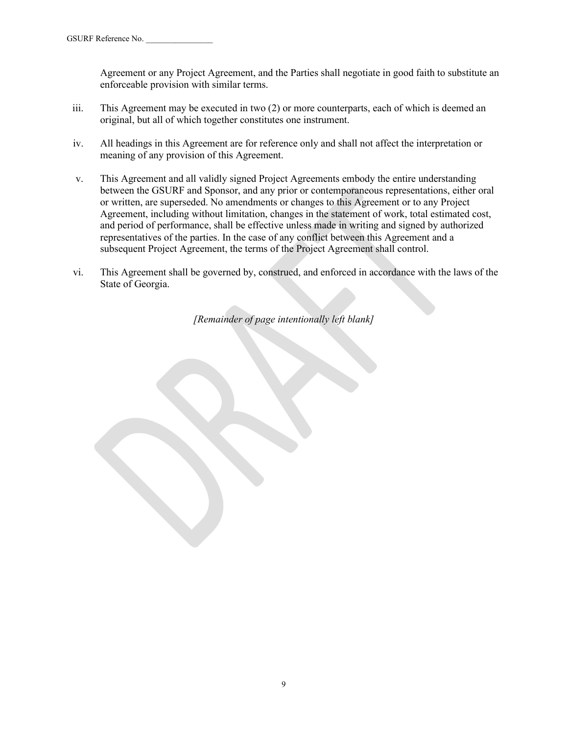Agreement or any Project Agreement, and the Parties shall negotiate in good faith to substitute an enforceable provision with similar terms.

- iii. This Agreement may be executed in two (2) or more counterparts, each of which is deemed an original, but all of which together constitutes one instrument.
- iv. All headings in this Agreement are for reference only and shall not affect the interpretation or meaning of any provision of this Agreement.
- v. This Agreement and all validly signed Project Agreements embody the entire understanding between the GSURF and Sponsor, and any prior or contemporaneous representations, either oral or written, are superseded. No amendments or changes to this Agreement or to any Project Agreement, including without limitation, changes in the statement of work, total estimated cost, and period of performance, shall be effective unless made in writing and signed by authorized representatives of the parties. In the case of any conflict between this Agreement and a subsequent Project Agreement, the terms of the Project Agreement shall control.
- vi. This Agreement shall be governed by, construed, and enforced in accordance with the laws of the State of Georgia.

*[Remainder of page intentionally left blank]*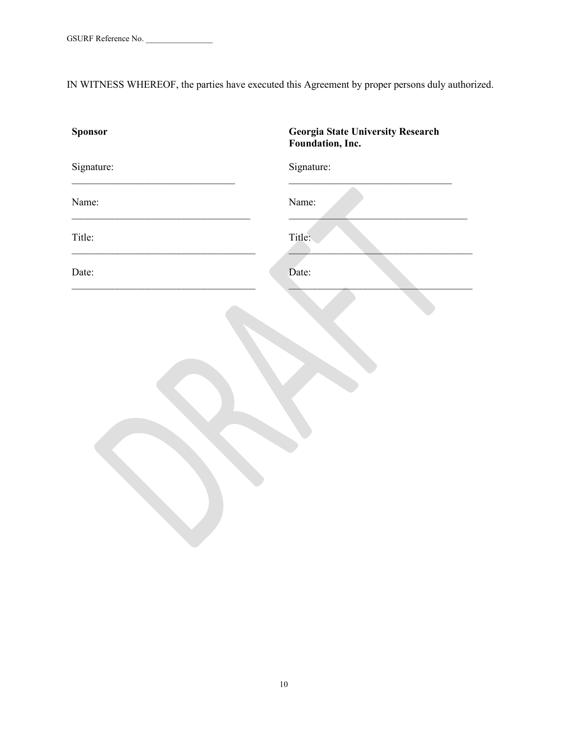IN WITNESS WHEREOF, the parties have executed this Agreement by proper persons duly authorized.

| <b>Sponsor</b> | <b>Georgia State University Research</b><br>Foundation, Inc. |
|----------------|--------------------------------------------------------------|
| Signature:     | Signature:                                                   |
| Name:          | Name:                                                        |
| Title:         | Title:                                                       |
| Date:          | Date:                                                        |
|                |                                                              |